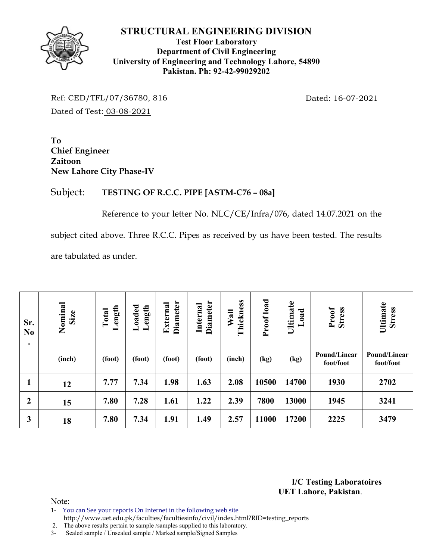#### **STRUCTURAL ENGINEERING DIVISION**



### **Test Floor Laboratory Department of Civil Engineering University of Engineering and Technology Lahore, 54890 Pakistan. Ph: 92-42-99029202**

Ref: CED/TFL/07/36780, 816 Dated: 16-07-2021 Dated of Test: 03-08-2021

**To Chief Engineer Zaitoon New Lahore City Phase-IV** 

# Subject: **TESTING OF R.C.C. PIPE [ASTM-C76 – 08a]**

Reference to your letter No. NLC/CE/Infra/076, dated 14.07.2021 on the subject cited above. Three R.C.C. Pipes as received by us have been tested. The results are tabulated as under.

| Sr.<br>N <sub>0</sub><br>$\bullet$ | Nominal<br>Size | Length<br>Total | Loaded<br>Length | <b>Diameter</b><br>External | Diameter<br>Internal | Thickness<br>Wall | Proof load | Ultimate<br>Load | <b>Stress</b><br>Proof    | Ultimate<br><b>Stress</b> |
|------------------------------------|-----------------|-----------------|------------------|-----------------------------|----------------------|-------------------|------------|------------------|---------------------------|---------------------------|
|                                    | (inch)          | (foot)          | (foot)           | (foot)                      | (foot)               | (inch)            | (kg)       | (kg)             | Pound/Linear<br>foot/foot | Pound/Linear<br>foot/foot |
| $\mathbf{1}$                       | 12              | 7.77            | 7.34             | 1.98                        | 1.63                 | 2.08              | 10500      | 14700            | 1930                      | 2702                      |
| $\boldsymbol{2}$                   | 15              | 7.80            | 7.28             | 1.61                        | 1.22                 | 2.39              | 7800       | 13000            | 1945                      | 3241                      |
| 3                                  | 18              | 7.80            | 7.34             | 1.91                        | 1.49                 | 2.57              | 11000      | 17200            | 2225                      | 3479                      |

**I/C Testing Laboratoires UET Lahore, Pakistan**.

Note:

- 1- You can See your reports On Internet in the following web site
- http://www.uet.edu.pk/faculties/facultiesinfo/civil/index.html?RID=testing\_reports 2. The above results pertain to sample /samples supplied to this laboratory.

3- Sealed sample / Unsealed sample / Marked sample/Signed Samples